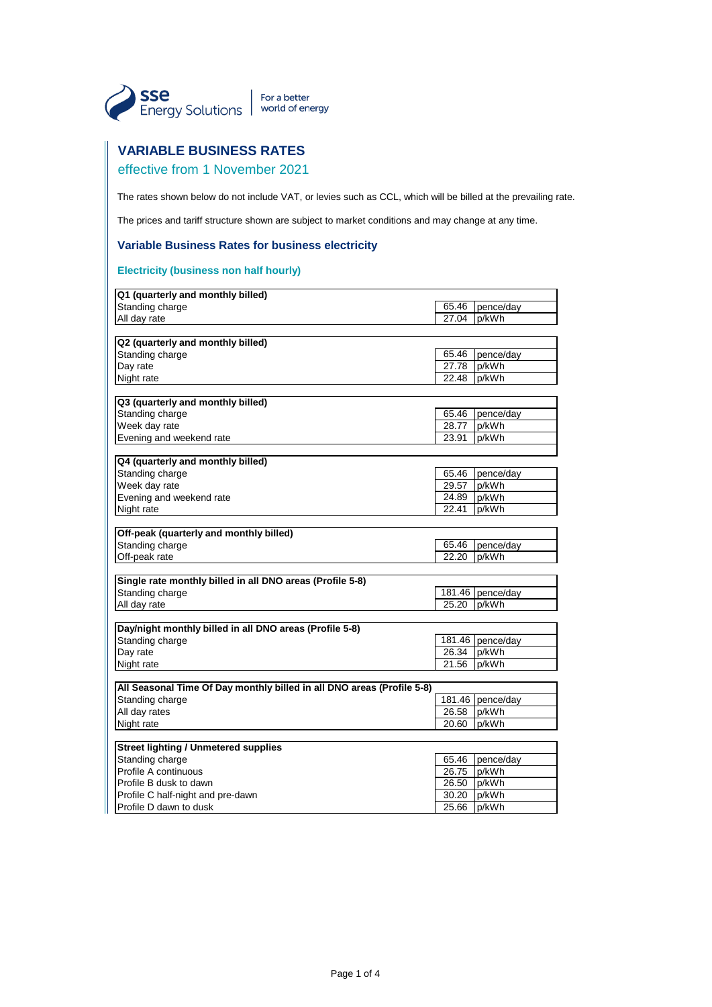

# **VARIABLE BUSINESS RATES**

# effective from 1 November 2021

The rates shown below do not include VAT, or levies such as CCL, which will be billed at the prevailing rate.

The prices and tariff structure shown are subject to market conditions and may change at any time.

### **Variable Business Rates for business electricity**

### **Electricity (business non half hourly)**

| Q1 (quarterly and monthly billed)                                      |        |                  |
|------------------------------------------------------------------------|--------|------------------|
| Standing charge                                                        | 65.46  | pence/day        |
| All day rate                                                           | 27.04  | p/kWh            |
|                                                                        |        |                  |
| Q2 (quarterly and monthly billed)                                      |        |                  |
| Standing charge                                                        | 65.46  | pence/day        |
| Day rate                                                               | 27.78  | p/kWh            |
| Night rate                                                             | 22.48  | p/kWh            |
|                                                                        |        |                  |
| Q3 (quarterly and monthly billed)                                      |        |                  |
| Standing charge                                                        | 65.46  | pence/day        |
| Week day rate                                                          | 28.77  | p/kWh            |
| Evening and weekend rate                                               | 23.91  | p/kWh            |
|                                                                        |        |                  |
| Q4 (quarterly and monthly billed)                                      |        |                  |
| Standing charge                                                        | 65.46  | pence/day        |
| Week day rate                                                          | 29.57  | p/kWh            |
| Evening and weekend rate                                               | 24.89  | p/kWh            |
| Night rate                                                             | 22.41  | p/kWh            |
|                                                                        |        |                  |
| Off-peak (quarterly and monthly billed)                                |        |                  |
| Standing charge                                                        | 65.46  | pence/day        |
| Off-peak rate                                                          | 22.20  | p/kWh            |
|                                                                        |        |                  |
| Single rate monthly billed in all DNO areas (Profile 5-8)              |        |                  |
| Standing charge                                                        |        | 181.46 pence/day |
| All day rate                                                           | 25.20  | p/kWh            |
|                                                                        |        |                  |
| Day/night monthly billed in all DNO areas (Profile 5-8)                |        |                  |
| Standing charge                                                        | 181.46 | pence/day        |
| Day rate                                                               | 26.34  | p/kWh            |
| Night rate                                                             | 21.56  | p/kWh            |
|                                                                        |        |                  |
| All Seasonal Time Of Day monthly billed in all DNO areas (Profile 5-8) |        |                  |
| Standing charge                                                        | 181.46 | pence/day        |
| All day rates                                                          | 26.58  | p/kWh            |
| Night rate                                                             | 20.60  | p/kWh            |
|                                                                        |        |                  |
| <b>Street lighting / Unmetered supplies</b>                            |        |                  |
| Standing charge                                                        | 65.46  | pence/day        |
| Profile A continuous                                                   | 26.75  | p/kWh            |
| Profile B dusk to dawn                                                 | 26.50  | p/kWh            |
| Profile C half-night and pre-dawn                                      | 30.20  | p/kWh            |
| Profile D dawn to dusk                                                 | 25.66  | p/kWh            |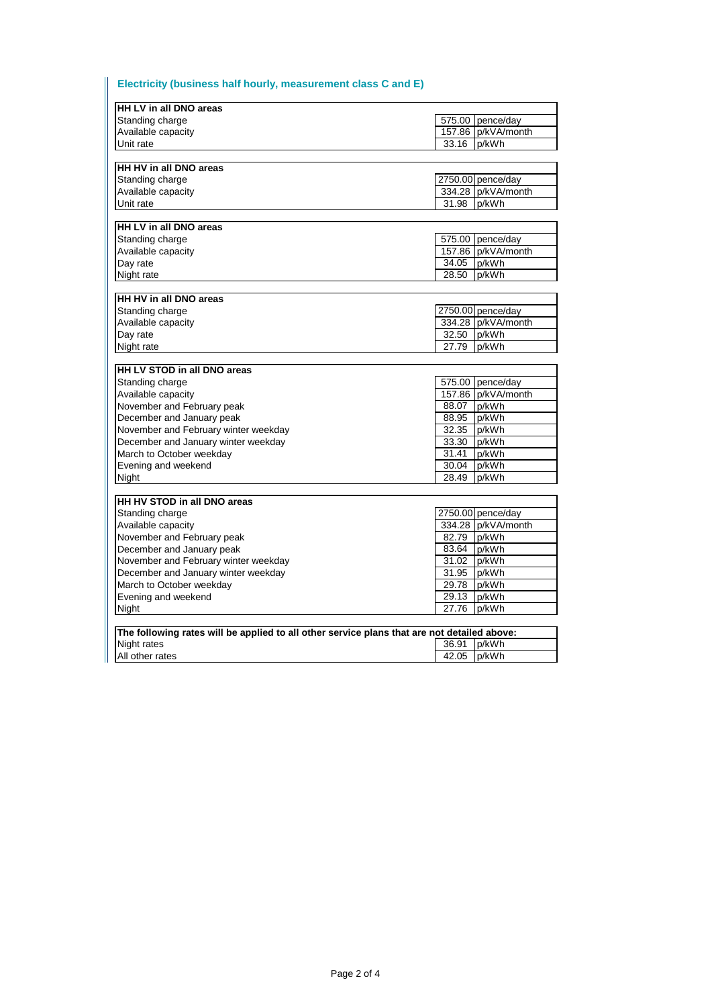# **Electricity (business half hourly, measurement class C and E)**

Ш

| HH LV in all DNO areas                                                                      |             |                    |  |  |
|---------------------------------------------------------------------------------------------|-------------|--------------------|--|--|
| Standing charge                                                                             |             | 575.00 pence/day   |  |  |
| Available capacity                                                                          |             | 157.86 p/kVA/month |  |  |
| Unit rate                                                                                   | 33.16 p/kWh |                    |  |  |
|                                                                                             |             |                    |  |  |
| HH HV in all DNO areas                                                                      |             |                    |  |  |
| Standing charge                                                                             |             | 2750.00 pence/day  |  |  |
| Available capacity                                                                          |             | 334.28 p/kVA/month |  |  |
| Unit rate                                                                                   | 31.98       | p/kWh              |  |  |
|                                                                                             |             |                    |  |  |
| HH LV in all DNO areas                                                                      |             |                    |  |  |
| Standing charge                                                                             |             | 575.00 pence/day   |  |  |
| Available capacity                                                                          |             | 157.86 p/kVA/month |  |  |
| Day rate                                                                                    | 34.05 p/kWh |                    |  |  |
| Night rate                                                                                  | 28.50 p/kWh |                    |  |  |
|                                                                                             |             |                    |  |  |
| HH HV in all DNO areas                                                                      |             |                    |  |  |
| Standing charge                                                                             |             | 2750.00 pence/day  |  |  |
| Available capacity                                                                          |             | 334.28 p/kVA/month |  |  |
| Day rate                                                                                    | 32.50 p/kWh |                    |  |  |
| Night rate                                                                                  | 27.79 p/kWh |                    |  |  |
|                                                                                             |             |                    |  |  |
| HH LV STOD in all DNO areas                                                                 |             |                    |  |  |
| Standing charge                                                                             |             | 575.00 pence/day   |  |  |
| Available capacity                                                                          |             | 157.86 p/kVA/month |  |  |
| November and February peak                                                                  | 88.07 p/kWh |                    |  |  |
| December and January peak                                                                   | 88.95       | p/kWh              |  |  |
| November and February winter weekday                                                        | 32.35       | p/kWh              |  |  |
| December and January winter weekday                                                         | 33.30       | p/kWh              |  |  |
| March to October weekday                                                                    | 31.41       | p/kWh              |  |  |
| Evening and weekend                                                                         | 30.04 p/kWh |                    |  |  |
| Night                                                                                       | 28.49       | p/kWh              |  |  |
|                                                                                             |             |                    |  |  |
| HH HV STOD in all DNO areas                                                                 |             |                    |  |  |
| Standing charge                                                                             |             | 2750.00 pence/day  |  |  |
| Available capacity                                                                          |             | 334.28 p/kVA/month |  |  |
| November and February peak                                                                  | 82.79 p/kWh |                    |  |  |
| December and January peak                                                                   | 83.64 p/kWh |                    |  |  |
| November and February winter weekday                                                        | 31.02 p/kWh |                    |  |  |
| December and January winter weekday                                                         | 31.95       | p/kWh              |  |  |
| March to October weekday                                                                    | 29.78 p/kWh |                    |  |  |
| Evening and weekend                                                                         | 29.13       | p/kWh              |  |  |
| Night                                                                                       | 27.76       | p/kWh              |  |  |
|                                                                                             |             |                    |  |  |
| The following rates will be applied to all other service plans that are not detailed above: |             |                    |  |  |
| Night rates                                                                                 | 36.91 p/kWh |                    |  |  |
| All other rates                                                                             | 42.05 p/kWh |                    |  |  |
|                                                                                             |             |                    |  |  |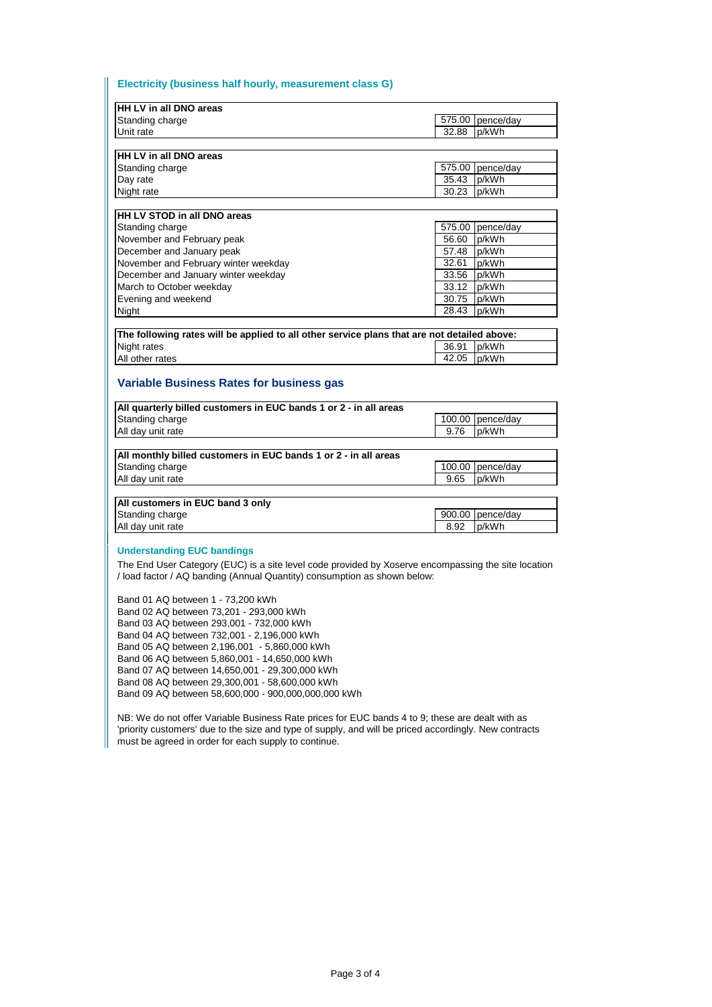#### **Electricity (business half hourly, measurement class G)**

| HH LV in all DNO areas                                                                              |                |           |  |
|-----------------------------------------------------------------------------------------------------|----------------|-----------|--|
| Standing charge                                                                                     | 575.00         | pence/day |  |
| Unit rate                                                                                           | 32.88          | p/kWh     |  |
|                                                                                                     |                |           |  |
| HH LV in all DNO areas                                                                              |                |           |  |
| Standing charge                                                                                     | 575.00         | pence/day |  |
| Day rate                                                                                            | 35.43          | p/kWh     |  |
| Night rate                                                                                          | 30.23          | p/kWh     |  |
|                                                                                                     |                |           |  |
| <b>HH LV STOD in all DNO areas</b>                                                                  |                |           |  |
| Standing charge                                                                                     | 575.00         | pence/day |  |
| November and February peak                                                                          | 56.60          | p/kWh     |  |
| December and January peak                                                                           | 57.48          | p/kWh     |  |
| November and February winter weekday                                                                | 32.61          | p/kWh     |  |
| December and January winter weekday                                                                 | 33.56          | p/kWh     |  |
| March to October weekday                                                                            | 33.12          | p/kWh     |  |
| Evening and weekend                                                                                 | 30.75          | p/kWh     |  |
| Night                                                                                               | 28.43          | p/kWh     |  |
|                                                                                                     |                |           |  |
| The following rates will be applied to all other service plans that are not detailed above:         |                |           |  |
| Night rates                                                                                         | 36.91          | p/kWh     |  |
| All other rates                                                                                     | 42.05          | p/kWh     |  |
| <b>Variable Business Rates for business gas</b>                                                     |                |           |  |
| All quarterly billed customers in EUC bands 1 or 2 - in all areas                                   |                |           |  |
| Standing charge                                                                                     | 100.00<br>9.76 | pence/day |  |
| All day unit rate                                                                                   |                | p/kWh     |  |
| All monthly billed customers in EUC bands 1 or 2 - in all areas                                     |                |           |  |
| Standing charge                                                                                     | 100.00         | pence/day |  |
| All day unit rate                                                                                   | 9.65           | p/kWh     |  |
|                                                                                                     |                |           |  |
| All customers in EUC band 3 only                                                                    |                |           |  |
| Standing charge                                                                                     | 900.00         | pence/day |  |
| All day unit rate                                                                                   | 8.92           | p/kWh     |  |
|                                                                                                     |                |           |  |
| <b>Understanding EUC bandings</b>                                                                   |                |           |  |
| The End User Category (EUC) is a site level code provided by Xoserve encompassing the site location |                |           |  |
| / load factor / AQ banding (Annual Quantity) consumption as shown below:                            |                |           |  |
|                                                                                                     |                |           |  |
| Band 01 AQ between 1 - 73,200 kWh                                                                   |                |           |  |
|                                                                                                     |                |           |  |

Band 02 AQ between 73,201 - 293,000 kWh Band 03 AQ between 293,001 - 732,000 kWh Band 04 AQ between 732,001 - 2,196,000 kWh Band 05 AQ between 2,196,001 - 5,860,000 kWh Band 06 AQ between 5,860,001 - 14,650,000 kWh Band 07 AQ between 14,650,001 - 29,300,000 kWh Band 08 AQ between 29,300,001 - 58,600,000 kWh Band 09 AQ between 58,600,000 - 900,000,000,000 kWh

NB: We do not offer Variable Business Rate prices for EUC bands 4 to 9; these are dealt with as 'priority customers' due to the size and type of supply, and will be priced accordingly. New contracts must be agreed in order for each supply to continue.